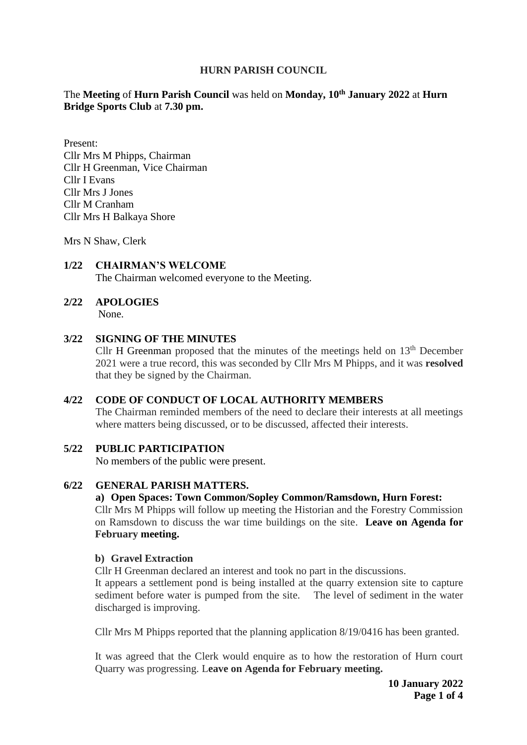# **HURN PARISH COUNCIL**

# The **Meeting** of **Hurn Parish Council** was held on **Monday, 10 th January 2022** at **Hurn Bridge Sports Club** at **7.30 pm.**

Present: Cllr Mrs M Phipps, Chairman Cllr H Greenman, Vice Chairman Cllr I Evans Cllr Mrs J Jones Cllr M Cranham Cllr Mrs H Balkaya Shore

Mrs N Shaw, Clerk

#### **1/22 CHAIRMAN'S WELCOME** The Chairman welcomed everyone to the Meeting.

# **2/22 APOLOGIES**

None.

# **3/22 SIGNING OF THE MINUTES**

Cllr H Greenman proposed that the minutes of the meetings held on  $13<sup>th</sup>$  December 2021 were a true record, this was seconded by Cllr Mrs M Phipps, and it was **resolved** that they be signed by the Chairman.

# **4/22 CODE OF CONDUCT OF LOCAL AUTHORITY MEMBERS**

The Chairman reminded members of the need to declare their interests at all meetings where matters being discussed, or to be discussed, affected their interests.

#### **5/22 PUBLIC PARTICIPATION**

No members of the public were present.

#### **6/22 GENERAL PARISH MATTERS.**

#### **a) Open Spaces: Town Common/Sopley Common/Ramsdown, Hurn Forest:**

Cllr Mrs M Phipps will follow up meeting the Historian and the Forestry Commission on Ramsdown to discuss the war time buildings on the site. **Leave on Agenda for February meeting.** 

# **b) Gravel Extraction**

Cllr H Greenman declared an interest and took no part in the discussions.

It appears a settlement pond is being installed at the quarry extension site to capture sediment before water is pumped from the site. The level of sediment in the water discharged is improving.

Cllr Mrs M Phipps reported that the planning application 8/19/0416 has been granted.

It was agreed that the Clerk would enquire as to how the restoration of Hurn court Quarry was progressing. L**eave on Agenda for February meeting.**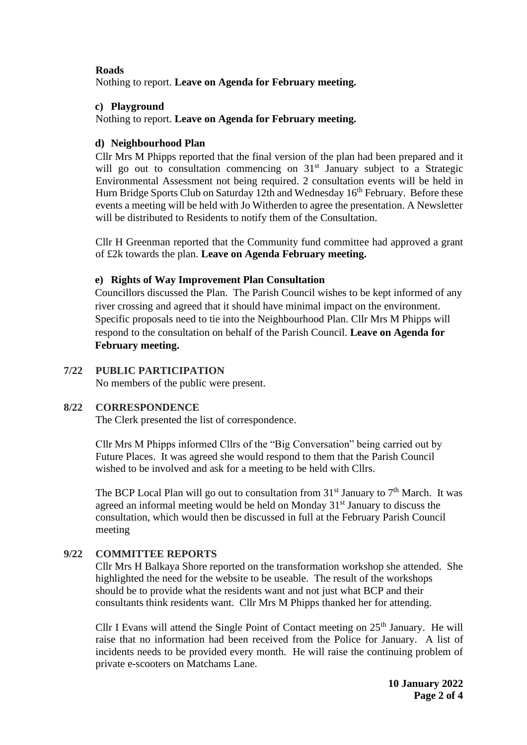# **Roads**

Nothing to report. **Leave on Agenda for February meeting.** 

#### **c) Playground**

Nothing to report. **Leave on Agenda for February meeting.** 

# **d) Neighbourhood Plan**

Cllr Mrs M Phipps reported that the final version of the plan had been prepared and it will go out to consultation commencing on 31<sup>st</sup> January subject to a Strategic Environmental Assessment not being required. 2 consultation events will be held in Hurn Bridge Sports Club on Saturday 12th and Wednesday 16<sup>th</sup> February. Before these events a meeting will be held with Jo Witherden to agree the presentation. A Newsletter will be distributed to Residents to notify them of the Consultation.

Cllr H Greenman reported that the Community fund committee had approved a grant of £2k towards the plan. **Leave on Agenda February meeting.** 

# **e) Rights of Way Improvement Plan Consultation**

Councillors discussed the Plan. The Parish Council wishes to be kept informed of any river crossing and agreed that it should have minimal impact on the environment. Specific proposals need to tie into the Neighbourhood Plan. Cllr Mrs M Phipps will respond to the consultation on behalf of the Parish Council. **Leave on Agenda for February meeting.** 

# **7/22 PUBLIC PARTICIPATION**

No members of the public were present.

# **8/22 CORRESPONDENCE**

The Clerk presented the list of correspondence.

Cllr Mrs M Phipps informed Cllrs of the "Big Conversation" being carried out by Future Places. It was agreed she would respond to them that the Parish Council wished to be involved and ask for a meeting to be held with Cllrs.

The BCP Local Plan will go out to consultation from  $31<sup>st</sup>$  January to  $7<sup>th</sup>$  March. It was agreed an informal meeting would be held on Monday 31<sup>st</sup> January to discuss the consultation, which would then be discussed in full at the February Parish Council meeting

# **9/22 COMMITTEE REPORTS**

Cllr Mrs H Balkaya Shore reported on the transformation workshop she attended. She highlighted the need for the website to be useable. The result of the workshops should be to provide what the residents want and not just what BCP and their consultants think residents want. Cllr Mrs M Phipps thanked her for attending.

Cllr I Evans will attend the Single Point of Contact meeting on  $25<sup>th</sup>$  January. He will raise that no information had been received from the Police for January. A list of incidents needs to be provided every month. He will raise the continuing problem of private e-scooters on Matchams Lane.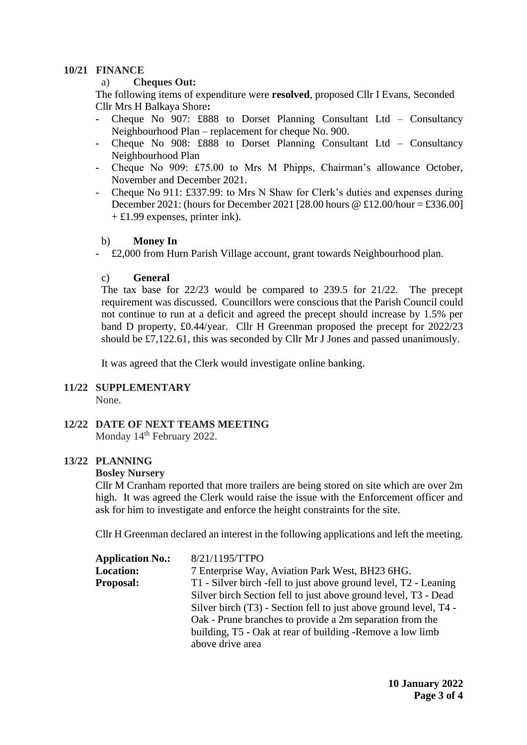#### **10/21 FINANCE**

#### a) **Cheques Out:**

The following items of expenditure were **resolved**, proposed Cllr I Evans, Seconded Cllr Mrs H Balkaya Shore**:** 

- Cheque No 907: £888 to Dorset Planning Consultant Ltd Consultancy Neighbourhood Plan – replacement for cheque No. 900.
- Cheque No 908: £888 to Dorset Planning Consultant Ltd Consultancy Neighbourhood Plan
- Cheque No 909: £75.00 to Mrs M Phipps, Chairman's allowance October, November and December 2021.
- Cheque No 911: £337.99: to Mrs N Shaw for Clerk's duties and expenses during December 2021: (hours for December 2021 [28.00 hours  $\omega$  £12.00/hour = £336.00]  $+ £1.99$  expenses, printer ink).

#### b) **Money In**

- £2,000 from Hurn Parish Village account, grant towards Neighbourhood plan.

#### c) **General**

The tax base for 22/23 would be compared to 239.5 for 21/22. The precept requirement was discussed. Councillors were conscious that the Parish Council could not continue to run at a deficit and agreed the precept should increase by 1.5% per band D property, £0.44/year. Cllr H Greenman proposed the precept for 2022/23 should be £7,122.61, this was seconded by Cllr Mr J Jones and passed unanimously.

It was agreed that the Clerk would investigate online banking.

#### **11/22 SUPPLEMENTARY** None.

# **12/22 DATE OF NEXT TEAMS MEETING**

Monday 14<sup>th</sup> February 2022.

# **13/22 PLANNING**

# **Bosley Nursery**

Cllr M Cranham reported that more trailers are being stored on site which are over 2m high. It was agreed the Clerk would raise the issue with the Enforcement officer and ask for him to investigate and enforce the height constraints for the site.

Cllr H Greenman declared an interest in the following applications and left the meeting.

| 8/21/1195/TTPO<br><b>Application No.:</b>                                            |  |
|--------------------------------------------------------------------------------------|--|
| <b>Location:</b><br>7 Enterprise Way, Aviation Park West, BH23 6HG.                  |  |
| T1 - Silver birch -fell to just above ground level, T2 - Leaning<br><b>Proposal:</b> |  |
| Silver birch Section fell to just above ground level, T3 - Dead                      |  |
| Silver birch (T3) - Section fell to just above ground level, T4 -                    |  |
| Oak - Prune branches to provide a 2m separation from the                             |  |
| building, T5 - Oak at rear of building -Remove a low limb                            |  |
| above drive area                                                                     |  |